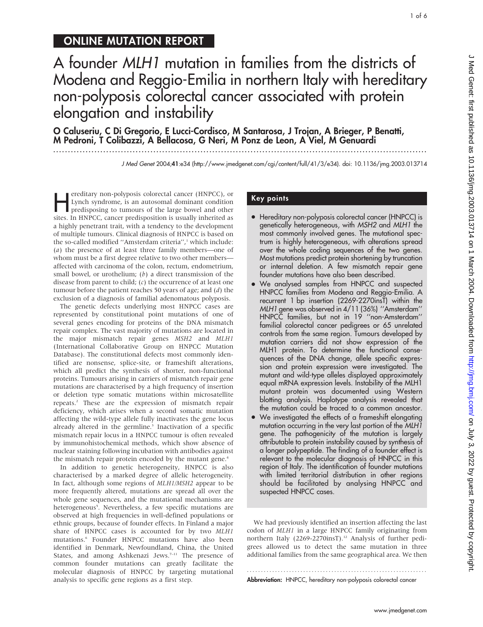## ONLINE MUTATION REPORT

# A founder MLH1 mutation in families from the districts of Modena and Reggio-Emilia in northern Italy with hereditary non-polyposis colorectal cancer associated with protein elongation and instability

O Caluseriu, C Di Gregorio, E Lucci-Cordisco, M Santarosa, J Trojan, A Brieger, P Benatti, M Pedroni, T Colibazzi, A Bellacosa, G Neri, M Ponz de Leon, A Viel, M Genuardi

.............................................................................................................................. .

J Med Genet 2004;41:e34 (http://www.jmedgenet.com/cgi/content/full/41/3/e34). doi: 10.1136/jmg.2003.013714

ereditary non-polyposis colorectal cancer (HNPCC), or<br>Lynch syndrome, is an autosomal dominant condition<br>predisposing to tumours of the large bowel and other<br>sites. In HNPCC cancer predisposition is usually inherited as Lynch syndrome, is an autosomal dominant condition predisposing to tumours of the large bowel and other sites. In HNPCC, cancer predisposition is usually inherited as a highly penetrant trait, with a tendency to the development of multiple tumours. Clinical diagnosis of HNPCC is based on the so-called modified "Amsterdam criteria",<sup>1</sup> which include: (a) the presence of at least three family members—one of whom must be a first degree relative to two other members affected with carcinoma of the colon, rectum, endometrium, small bowel, or urothelium;  $(b)$  a direct transmission of the disease from parent to child;  $(c)$  the occurrence of at least one tumour before the patient reaches 50 years of age; and  $(d)$  the exclusion of a diagnosis of familial adenomatous polyposis.

The genetic defects underlying most HNPCC cases are represented by constitutional point mutations of one of several genes encoding for proteins of the DNA mismatch repair complex. The vast majority of mutations are located in the major mismatch repair genes MSH2 and MLH1 (International Collaborative Group on HNPCC Mutation Database). The constitutional defects most commonly identified are nonsense, splice-site, or frameshift alterations, which all predict the synthesis of shorter, non-functional proteins. Tumours arising in carriers of mismatch repair gene mutations are characterised by a high frequency of insertion or deletion type somatic mutations within microsatellite repeats.2 These are the expression of mismatch repair deficiency, which arises when a second somatic mutation affecting the wild-type allele fully inactivates the gene locus already altered in the germline.<sup>3</sup> Inactivation of a specific mismatch repair locus in a HNPCC tumour is often revealed by immunohistochemical methods, which show absence of nuclear staining following incubation with antibodies against the mismatch repair protein encoded by the mutant gene.<sup>4</sup>

In addition to genetic heterogeneity, HNPCC is also characterised by a marked degree of allelic heterogeneity. In fact, although some regions of MLH1/MSH2 appear to be more frequently altered, mutations are spread all over the whole gene sequences, and the mutational mechanisms are heterogeneous<sup>5</sup>. Nevertheless, a few specific mutations are observed at high frequencies in well-defined populations or ethnic groups, because of founder effects. In Finland a major share of HNPCC cases is accounted for by two MLH1 mutations.6 Founder HNPCC mutations have also been identified in Denmark, Newfoundland, China, the United States, and among Ashkenazi Jews.<sup>7-11</sup> The presence of common founder mutations can greatly facilitate the molecular diagnosis of HNPCC by targeting mutational analysis to specific gene regions as a first step.

### Key points

- Hereditary non-polyposis colorectal cancer (HNPCC) is genetically heterogeneous, with MSH2 and MLH1 the most commonly involved genes. The mutational spectrum is highly heterogeneous, with alterations spread over the whole coding sequences of the two genes. Most mutations predict protein shortening by truncation or internal deletion. A few mismatch repair gene founder mutations have also been described.
- We analysed samples from HNPCC and suspected HNPCC families from Modena and Reggio-Emilia. A recurrent 1 bp insertion (2269-2270insT) within the MLH1 gene was observed in 4/11 (36%) ''Amsterdam'' HNPCC families, but not in 19 ''non-Amsterdam'' familial colorectal cancer pedigrees or 65 unrelated controls from the same region. Tumours developed by mutation carriers did not show expression of the MLH1 protein. To determine the functional consequences of the DNA change, allele specific expression and protein expression were investigated. The mutant and wild-type alleles displayed approximately equal mRNA expression levels. Instability of the MLH1 mutant protein was documented using Western blotting analysis. Haplotype analysis revealed that the mutation could be traced to a common ancestor.
- We investigated the effects of a frameshift elongating mutation occurring in the very last portion of the MLH1 gene. The pathogenicity of the mutation is largely attributable to protein instability caused by synthesis of a longer polypeptide. The finding of a founder effect is relevant to the molecular diagnosis of HNPCC in this region of Italy. The identification of founder mutations with limited territorial distribution in other regions should be facilitated by analysing HNPCC and suspected HNPCC cases.

We had previously identified an insertion affecting the last codon of MLH1 in a large HNPCC family originating from northern Italy  $(2269-2270$ insT $).<sup>12</sup>$  Analysis of further pedigrees allowed us to detect the same mutation in three additional families from the same geographical area. We then

............................................................... . Abbreviation: HNPCC, hereditary non-polyposis colorectal cancer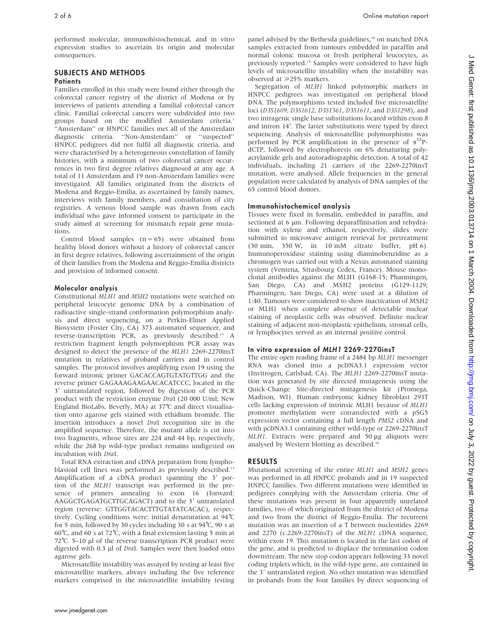performed molecular, immunohistochemical, and in vitro expression studies to ascertain its origin and molecular consequences.

# SUBJECTS AND METHODS

## **Patients**

Families enrolled in this study were found either through the colorectal cancer registry of the district of Modena or by interviews of patients attending a familial colorectal cancer clinic. Familial colorectal cancers were subdivided into two groups based on the modified Amsterdam criteria.<sup>1</sup> ''Amsterdam'' or HNPCC families met all of the Amsterdam diagnostic criteria. ''Non-Amsterdam'' or ''suspected'' HNPCC pedigrees did not fulfil all diagnostic criteria, and were characterised by a heterogeneous constellation of family histories, with a minimum of two colorectal cancer occurrences in two first degree relatives diagnosed at any age. A total of 11 Amsterdam and 19 non-Amsterdam families were investigated. All families originated from the districts of Modena and Reggio-Emilia, as ascertained by family names, interviews with family members, and consultation of city registries. A venous blood sample was drawn from each individual who gave informed consent to participate in the study aimed at screening for mismatch repair gene mutations.

Control blood samples  $(n = 65)$  were obtained from healthy blood donors without a history of colorectal cancer in first degree relatives, following ascertainment of the origin of their families from the Modena and Reggio-Emilia districts and provision of informed consent.

## Molecular analysis

Constitutional MLH1 and MSH2 mutations were searched on peripheral leucocyte genomic DNA by a combination of radioactive single-strand conformation polymorphism analysis and direct sequencing, on a Perkin-Elmer Applied Biosystem (Foster City, CA) 373 automated sequencer, and reverse-transcription PCR, as previously described.13 A restriction fragment length polymorphism PCR assay was designed to detect the presence of the MLH1 2269-2270insT mutation in relatives of proband carriers and in control samples. The protocol involves amplifying exon 19 using the forward intronic primer GACACCAGTGTATGTTGG and the reverse primer GAGAAAGAAGAACACATCCC, located in the 3' untranslated region, followed by digestion of the PCR product with the restriction enzyme DraI (20 000 U/ml; New England BioLabs, Beverly, MA) at 37˚C and direct visualisation onto agarose gels stained with ethidium bromide. The insertion introduces a novel DraI recognition site in the amplified sequence. Therefore, the mutant allele is cut into two fragments, whose sizes are 224 and 44 bp, respectively, while the 268 bp wild-type product remains undigested on incubation with DraI.

Total RNA extraction and cDNA preparation from lymphoblastoid cell lines was performed as previously described.<sup>13</sup> Amplification of a cDNA product spanning the  $3'$  portion of the MLH1 transcript was performed in the presence of primers annealing to exon 16 (forward: AAGGCTGAGATGCTTGCAGACT) and to the 3' untranslated region (reverse: GTTGGTACACTTTGTATATCACAC), respectively. Cycling conditions were: initial denaturation at 94˚C for 5 min, followed by 30 cycles including 30 s at 94˚C, 90 s at 60˚C, and 60 s at 72˚C, with a final extension lasting 5 min at 72 $°C$ . 5–10 µl of the reverse transcription PCR product were digested with 0.3 µl of *DraI*. Samples were then loaded onto agarose gels.

Microsatellite instability was assayed by testing at least five microsatellite markers, always including the five reference markers comprised in the microsatellite instability testing panel advised by the Bethesda guidelines,<sup>14</sup> on matched DNA samples extracted from tumours embedded in paraffin and normal colonic mucosa or fresh peripheral leucocytes, as previously reported.15 Samples were considered to have high levels of microsatellite instability when the instability was observed at  $\geq$ 25% markers.

Segregation of MLH1 linked polymorphic markers in HNPCC pedigrees was investigated on peripheral blood DNA. The polymorphisms tested included five microsatellite loci (D3S1609, D3S1612, D3S1561, D3S1611, and D3S1298), and two intragenic single base substitutions located within exon 8 and intron 14<sup>5</sup>. The latter substitutions were typed by direct sequencing. Analysis of microsatellite polymorphisms was performed by PCR amplification in the presence of  $\alpha^{32}P$ dCTP, followed by electrophoresis on 6% denaturing polyacrylamide gels and autoradiographic detection. A total of 42 individuals, including 21 carriers of the 2269-2270insT mutation, were analysed. Allele frequencies in the general population were calculated by analysis of DNA samples of the 65 control blood donors.

## Immunohistochemical analysis

Tissues were fixed in formalin, embedded in paraffin, and sectioned at 6 µm. Following deparaffinisation and rehydration with xylene and ethanol, respectively, slides were submitted to microwave antigen retrieval for pretreatment (30 min, 350 W, in 10 mM citrate buffer, pH 6). Immunoperoxidase staining using diaminobenzidine as a chromogen was carried out with a Nexus automated staining system (Ventena, Strasbourg Cedex, France). Mouse monoclonal antibodies against the MLH1 (G168-15; Pharmingen, San Diego, CA) and MSH2 proteins (G129-1129; Pharmingen, San Diego, CA) were used at a dilution of 1:40. Tumours were considered to show inactivation of MSH2 or MLH1 when complete absence of detectable nuclear staining of neoplastic cells was observed. Definite nuclear staining of adjacent non-neoplastic epithelium, stromal cells, or lymphocytes served as an internal positive control.

## In vitro expression of MLH1 2269-2270insT

The entire open reading frame of a 2484 bp MLH1 messenger RNA was cloned into a pcDNA3.1 expression vector (Invitrogen, Carlsbad, CA). The MLH1 2269-2270insT mutation was generated by site directed mutagenesis using the Quick-Change Site-directed mutagenesis kit (Promega, Madison, WI). Human embryonic kidney fibroblast 293T cells lacking expression of intrinsic MLH1 because of MLH1 promoter methylation were cotransfected with a pSG5 expression vector containing a full length PMS2 cDNA and with pcDNA3.1 containing either wild-type or 2269-2270insT  $MLHI$ . Extracts were prepared and 50  $\mu$ g aliquots were analysed by Western blotting as described.16

## RESULTS

Mutational screening of the entire MLH1 and MSH2 genes was performed in all HNPCC probands and in 19 suspected HNPCC families. Two different mutations were identified in pedigrees complying with the Amsterdam criteria. One of these mutations was present in four apparently unrelated families, two of which originated from the district of Modena and two from the district of Reggio-Emilia. The recurrent mutation was an insertion of a T between nucleotides 2269 and 2270 (c.2269-2270insT) of the MLH1 cDNA sequence, within exon 19. This mutation is located in the last codon of the gene, and is predicted to displace the termination codon downstream. The new stop codon appears following 33 novel coding triplets which, in the wild-type gene, are contained in the 3' untranslated region. No other mutation was identified in probands from the four families by direct sequencing of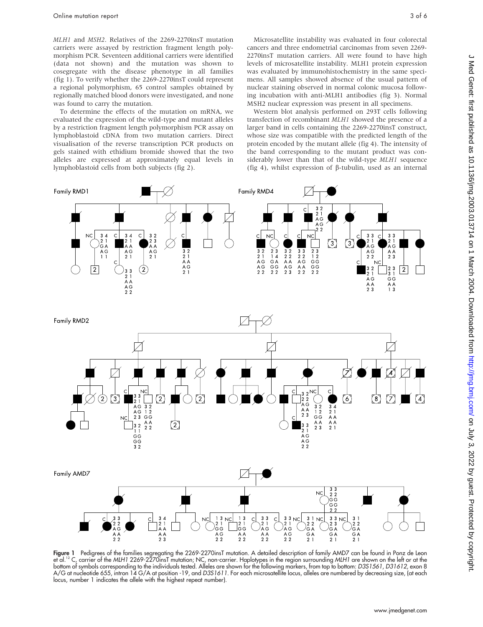MLH1 and MSH2. Relatives of the 2269-2270insT mutation carriers were assayed by restriction fragment length polymorphism PCR. Seventeen additional carriers were identified (data not shown) and the mutation was shown to cosegregate with the disease phenotype in all families (fig 1). To verify whether the 2269-2270insT could represent a regional polymorphism, 65 control samples obtained by regionally matched blood donors were investigated, and none was found to carry the mutation.

To determine the effects of the mutation on mRNA, we evaluated the expression of the wild-type and mutant alleles by a restriction fragment length polymorphism PCR assay on lymphoblastoid cDNA from two mutation carriers. Direct visualisation of the reverse transcription PCR products on gels stained with ethidium bromide showed that the two alleles are expressed at approximately equal levels in lymphoblastoid cells from both subjects (fig 2).

Microsatellite instability was evaluated in four colorectal cancers and three endometrial carcinomas from seven 2269- 2270insT mutation carriers. All were found to have high levels of microsatellite instability. MLH1 protein expression was evaluated by immunohistochemistry in the same specimens. All samples showed absence of the usual pattern of nuclear staining observed in normal colonic mucosa following incubation with anti-MLH1 antibodies (fig 3). Normal MSH2 nuclear expression was present in all specimens.

Western blot analysis performed on 293T cells following transfection of recombinant MLH1 showed the presence of a larger band in cells containing the 2269-2270insT construct, whose size was compatible with the predicted length of the protein encoded by the mutant allele (fig 4). The intensity of the band corresponding to the mutant product was considerably lower than that of the wild-type MLH1 sequence (fig 4), whilst expression of  $\beta$ -tubulin, used as an internal



**Figure 1** Pedigrees of the families segregating the 2269-2270insT mutation. A detailed description of family AMD7 can be found in Ponz de Leon<br>et al.<sup>12</sup> C, carrier of the MLH1 2269-2270insT mutation; NC, non-carrier. Hap bottom of symbols corresponding to the individuals tested. Alleles are shown for the following markers, from top to bottom: D3S1561, D31612, exon 8 A/G at nucleotide 655, intron 14 G/A at position -19, and D3S1611. For each microsatellite locus, alleles are numbered by decreasing size, (at each locus, number 1 indicates the allele with the highest repeat number).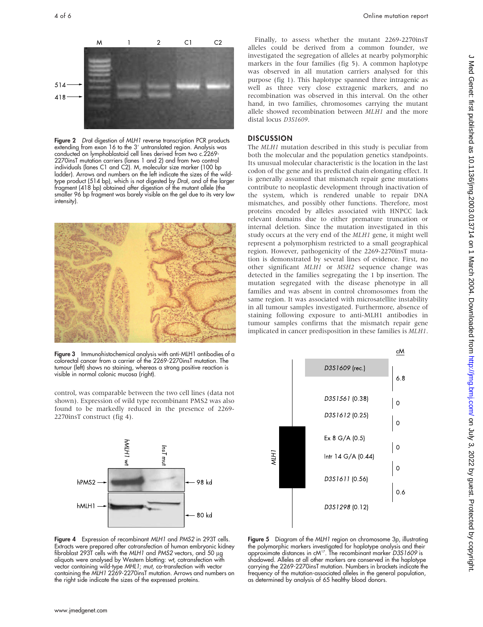

Figure 2 Dral digestion of MLH1 reverse transcription PCR products extending from exon 16 to the 3' untranslated region. Analysis was conducted on lymphoblastoid cell lines derived from two c.2269-2270insT mutation carriers (lanes 1 and 2) and from two control individuals (lanes C1 and C2). M, molecular size marker (100 bp ladder). Arrows and numbers on the left indicate the sizes of the wildtype product (514 bp), which is not digested by DraI, and of the larger fragment (418 bp) obtained after digestion of the mutant allele (the smaller 96 bp fragment was barely visible on the gel due to its very low intensity).



Figure 3 Immunohistochemical analysis with anti-MLH1 antibodies of a colorectal cancer from a carrier of the 2269-2270insT mutation. The tumour (left) shows no staining, whereas a strong positive reaction is visible in normal colonic mucosa (right).

control, was comparable between the two cell lines (data not shown). Expression of wild type recombinant PMS2 was also found to be markedly reduced in the presence of 2269- 2270insT construct (fig 4).



Figure 4 Expression of recombinant MLH1 and PMS2 in 293T cells. Extracts were prepared after cotransfection of human embryonic kidney fibroblast 293T cells with the MLH1 and PMS2 vectors, and 50 µg aliquots were analysed by Western blotting: wt, cotransfection with vector containing wild-type MHL1; mut, co-transfection with vector containing the MLH1 2269-2270insT mutation. Arrows and numbers on the right side indicate the sizes of the expressed proteins.

Finally, to assess whether the mutant 2269-2270insT alleles could be derived from a common founder, we investigated the segregation of alleles at nearby polymorphic markers in the four families (fig 5). A common haplotype was observed in all mutation carriers analysed for this purpose (fig 1). This haplotype spanned three intragenic as well as three very close extragenic markers, and no recombination was observed in this interval. On the other hand, in two families, chromosomes carrying the mutant allele showed recombination between MLH1 and the more distal locus D3S1609.

#### **DISCUSSION**

The MLH1 mutation described in this study is peculiar from both the molecular and the population genetics standpoints. Its unusual molecular characteristic is the location in the last codon of the gene and its predicted chain elongating effect. It is generally assumed that mismatch repair gene mutations contribute to neoplastic development through inactivation of the system, which is rendered unable to repair DNA mismatches, and possibly other functions. Therefore, most proteins encoded by alleles associated with HNPCC lack relevant domains due to either premature truncation or internal deletion. Since the mutation investigated in this study occurs at the very end of the MLH1 gene, it might well represent a polymorphism restricted to a small geographical region. However, pathogenicity of the 2269-2270insT mutation is demonstrated by several lines of evidence. First, no other significant MLH1 or MSH2 sequence change was detected in the families segregating the 1 bp insertion. The mutation segregated with the disease phenotype in all families and was absent in control chromosomes from the same region. It was associated with microsatellite instability in all tumour samples investigated. Furthermore, absence of staining following exposure to anti-MLH1 antibodies in tumour samples confirms that the mismatch repair gene implicated in cancer predisposition in these families is MLH1.



Figure 5 Diagram of the MLH1 region on chromosome 3p, illustrating the polymorphic markers investigated for haplotype analysis and their<br>approximate distances in cM<sup>17</sup>. The recombinant marker *D3S1609* is shadowed. Alleles at all other markers are conserved in the haplotype carrying the 2269-2270insT mutation. Numbers in brackets indicate the frequency of the mutation-associated alleles in the general population, as determined by analysis of 65 healthy blood donors.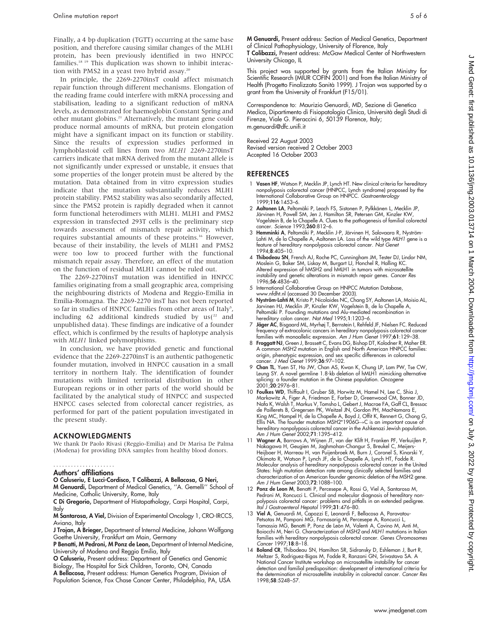Finally, a 4 bp duplication (TGTT) occurring at the same base position, and therefore causing similar changes of the MLH1 protein, has been previously identified in two HNPCC families.18 19 This duplication was shown to inhibit interaction with PMS2 in a yeast two hybrid assay.<sup>20</sup>

In principle, the 2269-2270insT could affect mismatch repair function through different mechanisms. Elongation of the reading frame could interfere with mRNA processing and stabilisation, leading to a significant reduction of mRNA levels, as demonstrated for haemoglobin Constant Spring and other mutant globins.<sup>21</sup> Alternatively, the mutant gene could produce normal amounts of mRNA, but protein elongation might have a significant impact on its function or stability. Since the results of expression studies performed in lymphoblastoid cell lines from two MLH1 2269-2270insT carriers indicate that mRNA derived from the mutant allele is not significantly under expressed or unstable, it ensues that some properties of the longer protein must be altered by the mutation. Data obtained from in vitro expression studies indicate that the mutation substantially reduces MLH1 protein stability. PMS2 stability was also secondarily affected, since the PMS2 protein is rapidly degraded when it cannot form functional heterodimers with MLH1. MLH1 and PMS2 expression in transfected 293T cells is the preliminary step towards assessment of mismatch repair activity, which requires substantial amounts of these proteins.16 However, because of their instability, the levels of MLH1 and PMS2 were too low to proceed further with the functional mismatch repair assay. Therefore, an effect of the mutation on the function of residual MLH1 cannot be ruled out.

The 2269-2270insT mutation was identified in HNPCC families originating from a small geographic area, comprising the neighbouring districts of Modena and Reggio-Emilia in Emilia-Romagna. The 2269-2270 insT has not been reported so far in studies of HNPCC families from other areas of Italy<sup>5</sup>, including 62 additional kindreds studied by  $\text{us}(^{22}$  and unpublished data). These findings are indicative of a founder effect, which is confirmed by the results of haplotype analysis with MLH1 linked polymorphisms.

In conclusion, we have provided genetic and functional evidence that the 2269-2270insT is an authentic pathogenetic founder mutation, involved in HNPCC causation in a small territory in northern Italy. The identification of founder mutations with limited territorial distribution in other European regions or in other parts of the world should be facilitated by the analytical study of HNPCC and suspected HNPCC cases selected from colorectal cancer registries, as performed for part of the patient population investigated in the present study.

#### ACKNOWLEDGMENTS

We thank Dr Paolo Rivasi (Reggio-Emilia) and Dr Marisa De Palma (Modena) for providing DNA samples from healthy blood donors.

## .....................

## Authors' affiliations

O Caluseriu, E Lucci-Cordisco, T Colibazzi, A Bellacosa, G Neri, M Genuardi, Department of Medical Genetics, ''A. Gemelli'' School of

Medicine, Catholic University, Rome, Italy C Di Gregorio, Department of Histopathology, Carpi Hospital, Carpi, Italy

M Santarosa, A Viel, Division of Experimental Oncology 1, CRO-IRCCS, Aviano, Italy

J Trojan, A Brieger, Department of Internal Medicine, Johann Wolfgang Goethe University, Frankfurt am Main, Germany

P Benatti, M Pedroni, M Ponz de Leon, Department of Internal Medicine, University of Modena and Reggio Emilia, Italy

O Caluseriu, Present address: Department of Genetics and Genomic Biology, The Hospital for Sick Children, Toronto, ON, Canada

A Bellacosa, Present address: Human Genetics Program, Division of Population Science, Fox Chase Cancer Center, Philadelphia, PA, USA M Genuardi, Present address: Section of Medical Genetics, Department of Clinical Pathophysiology, University of Florence, Italy

T Colibazzi, Present address: McGaw Medical Center of Northwestern University Chicago, IL

This project was supported by grants from the Italian Ministry for Scientific Research (MIUR COFIN 2001) and from the Italian Ministry of Health (Progetto Finalizzato Sanità 1999). J Trojan was supported by a grant from the University of Frankfurt (F15/01).

Correspondence to: Maurizio Genuardi, MD, Sezione di Genetica Medica, Dipartimento di Fisiopatologia Clinica, Universita` degli Studi di Firenze, Viale G. Pieraccini 6, 50139 Florence, Italy; m.genuardi@dfc.unifi.it

Received 22 August 2003 Revised version received 2 October 2003 Accepted 16 October 2003

#### **REFERENCES**

- 1 Vasen HF, Watson P, Mecklin JP, Lynch HT. New clinical criteria for hereditary nonpolyposis colorectal cancer (HNPCC, Lynch syndrome) proposed by the International Collaborative Group on HNPCC. Gastroenterology 1999;116:1453–6.
- 2 Aaltonen LA, Peltomäki P, Leach FS, Sistonen P, Pylkkänen L, Mecklin JP, Järvinen H, Powell SM, Jen J, Hamilton SR, Petersen GM, Kinzler KW,<br>Vogelstein B, de la Chapelle A. Clues to the pathogenesis of familial colorecta cancer. Science 1993;260:812–6.
- 3 **Hemminki A**, Peltomäki P, Mecklin J-P, Järvinen H, Salovaara R, Nyström-<br>Lahti M, de la Chapelle A, Aaltonen LA. Loss of the wild type MLH1 gene is a<br>feature of hereditary nonpolyposis colorectal cancer. N*at Genet* 1994;8:405–10.
- 4 Thibodeau SN, French AJ, Roche PC, Cunningham JM, Tester DJ, Lindor NM, Moslein G, Baker SM, Liskay M, Burgart LJ, Honchel R, Halling KC. Altered expression of hMSH2 and hMLH1 in tumors with microsatellite instability and genetic alterations in mismatch repair genes. Cancer Res 1996;56:4836–40.
- 5 International Collaborative Group on HNPCC Mutation Database, www.nfdht.nl (accessed 30 December 2003).
- 6 **Nyström-Lahti M**, Kristo P, Nicolaides NC, Chang SY, Aaltonen LA, Moisio AL,<br>Jarvinen HJ, Mecklin JP, Kinzler KW, Vogelstein B, de la Chapelle A, Peltomäki P. Founding mutations and Alu-mediated recombination in
- hereditary colon cancer. *Nat Med* 1995;1:1203–6.<br>7 **Jäger AC**, Bisgaard ML, Myrhøj T, Bernstein I, Rehfeld JF, Nielsen FC. Reducec frequency of extracolonic cancers in hereditary nonpolyposis colorectal cancer families with monoallelic expression. Am J Hum Genet 1997;61:129–38.
- 8 Froggatt NJ, Green J, Brassett C, Evans DG, Bishop DT, Kolodner R, Maher ER. A common MSH2 mutation in English and North American HNPCC families: origin, phenotypic expression, and sex specific differences in colorectal cancer. J Med Genet 1999;36:97–102.
- 9 Chan TL, Yuen ST, Ho JW, Chan AS, Kwan K, Chung LP, Lam PW, Tse CW, Leung SY. A novel germline 1.8-kb deletion of hMLH1 mimicking alternative splicing: a founder mutation in the Chinese population. Oncogene 2001;20:2976–81.
- 10 Foulkes WD, Thiffault I, Gruber SB, Horwitz M, Hamel N, Lee C, Shia J, Markowitz A, Figer A, Friedman E, Farber D, Greenwood CM, Bonner JD, Nafa K, Walsh T, Markus V, Tomsho L, Gebert J, Macrae FA, Gaff CL, Bressac de Paillerets B, Gregersen PK, Weitzel JN, Gordon PH, MacNamara E, King MC, Hampel H, de la Chapelle A, Boyd J, Offit K, Rennert G, Chong G,<br>Ellis NA. The founder mutation MSH2\*1906G→C is an important cause of hereditary nonpolyposis colorectal cancer in the Ashkenazi Jewish population. Am J Hum Genet 2002;71:1395–412.
- Wagner A, Barrows A, Wijnen JT, van der Klift H, Franken PF, Verkuijlen P, Nakagawa H, Geugien M, Jaghmohan-Changur S, Breukel C, Meijers-Heijboer H, Morreau H, van Puijenbroek M, Burn J, Coronel S, Kinarski Y,<br>Okimoto R, Watson P, Lynch JF, de la Chapelle A, Lynch HT, Fodde R.<br>Molecular analysis of hereditary nonpolyposis colorectal cancer in the Unitec States: high mutation detection rate among clinically selected families and characterization of an American founder genomic deletion of the MSH2 gene. Am J Hum Genet 2003;72:1088-100.
- 12 Ponz de Leon M, Benatti P, Percesepe A, Rossi G, Viel A, Santarosa M, Pedroni M, Roncucci L. Clinical and molecular diagnosis of hereditary nonpolyposis colorectal cancer: problems and pitfalls in an extended pedigree. Ital J Gastroenterol Hepatol 1999;31:476–80.
- 13 Viel A, Genuardi M, Capozzi E, Leonardi F, Bellacosa A, Paravatou-Petsotas M, Pomponi MG, Fornasarig M, Percesepe A, Roncucci L, Tamassia MG, Benatti P, Ponz de Leon M, Valenti A, Covino M, Anti M, Boiocchi M, Neri G. Characterization of MSH2 and MLH1 mutations in Italian families with hereditary nonpolyposis colorectal cancer. Genes Chromosomes Cancer 1997;18:8–18.
- 14 Boland CR, Thibodeau SN, Hamilton SR, Sidransky D, Eshleman J, Burt R, Meltzer S, Rodriguez-Bigas M, Fodde R, Ranzani GN, Srivastava SA. A National Cancer Institute workshop on microsatellite instability for cancer detection and familial predisposition: development of international criteria for the determination of microsatellite instability in colorectal cancer. Cancer Res 1998;58:5248–57.